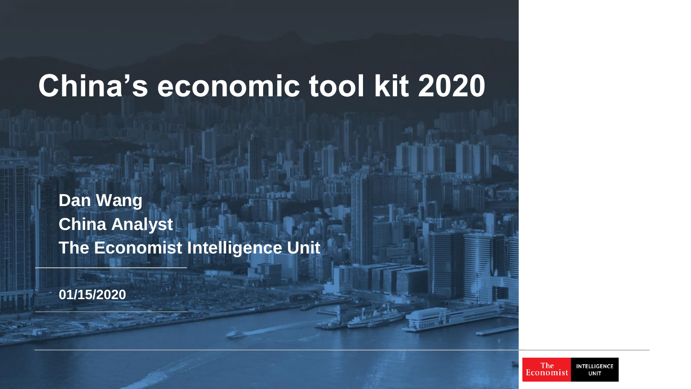## **China's economic tool kit 2020**

**Dan Wang China Analyst The Economist Intelligence Unit**

**01/15/2020**

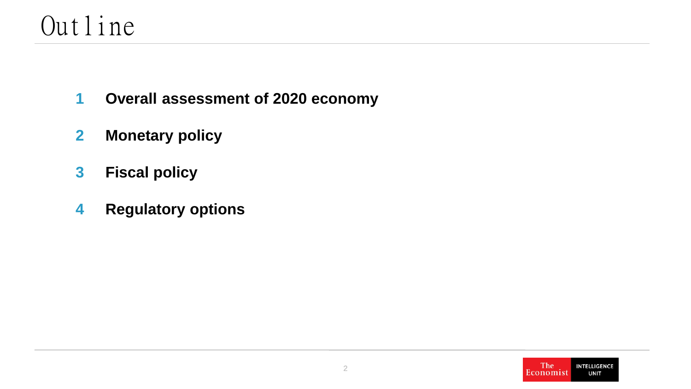#### Outline

- **Overall assessment of 2020 economy 1**
- **Monetary policy 2**
- **Fiscal policy 3**
- **Regulatory options 4**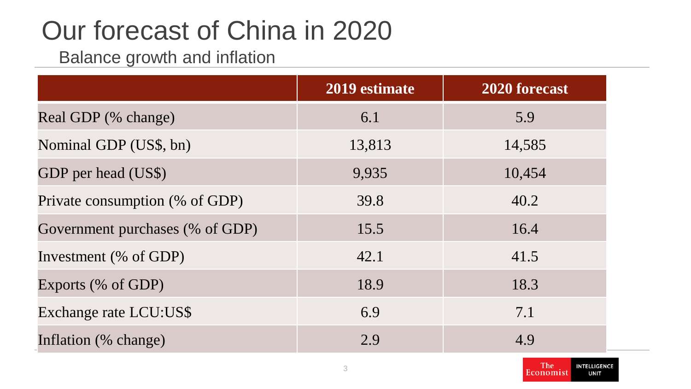## Our forecast of China in 2020

Balance growth and inflation

|                                 | 2019 estimate | 2020 forecast |
|---------------------------------|---------------|---------------|
| Real GDP (% change)             | 6.1           | 5.9           |
| Nominal GDP (US\$, bn)          | 13,813        | 14,585        |
| GDP per head (US\$)             | 9,935         | 10,454        |
| Private consumption (% of GDP)  | 39.8          | 40.2          |
| Government purchases (% of GDP) | 15.5          | 16.4          |
| Investment (% of GDP)           | 42.1          | 41.5          |
| Exports (% of GDP)              | 18.9          | 18.3          |
| Exchange rate LCU:US\$          | 6.9           | 7.1           |
| Inflation (% change)            | 2.9           | 4.9           |

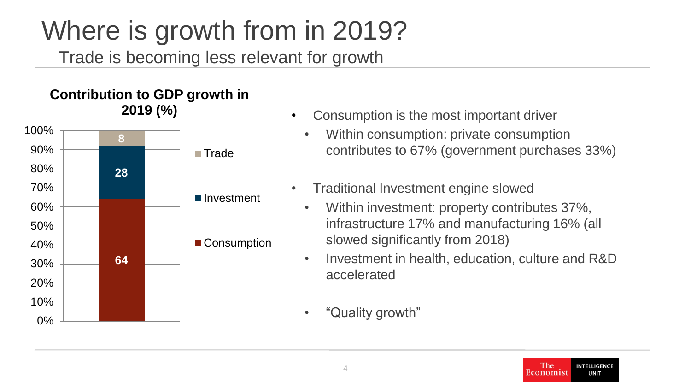#### Trade is becoming less relevant for growth Where is growth from in 2019?

#### **Contribution to GDP growth in 2019 (%)**



- Consumption is the most important driver
	- Within consumption: private consumption contributes to 67% (government purchases 33%)
- Traditional Investment engine slowed
	- Within investment: property contributes 37%, infrastructure 17% and manufacturing 16% (all slowed significantly from 2018)
	- Investment in health, education, culture and R&D accelerated
	- "Quality growth"

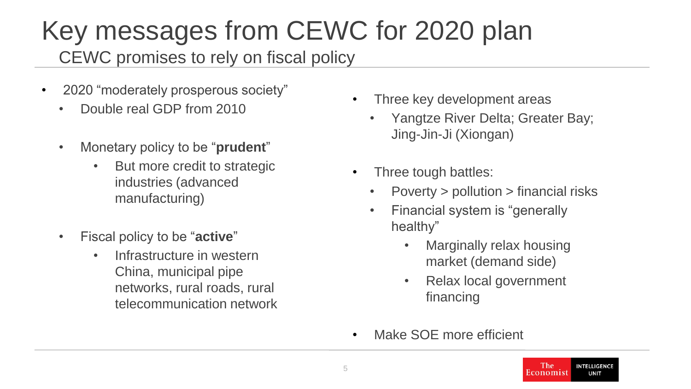#### CEWC promises to rely on fiscal policy Key messages from CEWC for 2020 plan

- 2020 "moderately prosperous society"
	- Double real GDP from 2010
	- Monetary policy to be "**prudent**"
		- But more credit to strategic industries (advanced manufacturing)
	- Fiscal policy to be "**active**"
		- Infrastructure in western China, municipal pipe networks, rural roads, rural telecommunication network
- Three key development areas
	- Yangtze River Delta; Greater Bay; Jing-Jin-Ji (Xiongan)
- Three tough battles:
	- Poverty > pollution > financial risks
	- Financial system is "generally healthy"
		- Marginally relax housing market (demand side)
		- Relax local government financing
- Make SOE more efficient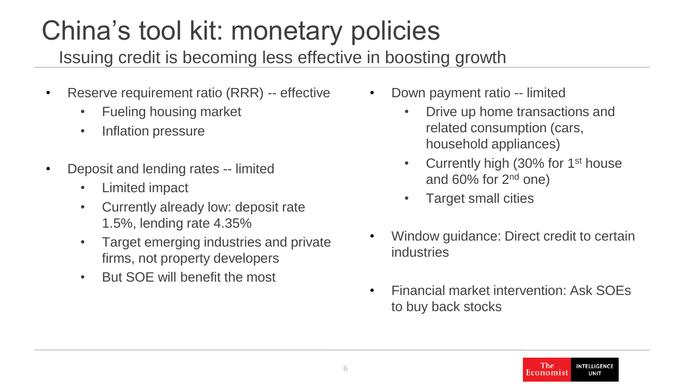# China's tool kit: monetary policies

Issuing credit is becoming less effective in boosting growth

- Reserve requirement ratio (RRR) -- effective
	- Fueling housing market
	- Inflation pressure
- Deposit and lending rates -- limited
	- Limited impact
	- Currently already low: deposit rate 1.5%, lending rate 4.35%
	- Target emerging industries and private firms, not property developers
	- But SOE will benefit the most
- Down payment ratio -- limited
	- Drive up home transactions and related consumption (cars, household appliances)
	- Currently high (30% for  $1<sup>st</sup>$  house and 60% for 2nd one)
	- Target small cities
- Window guidance: Direct credit to certain industries
- Financial market intervention: Ask SOEs to buy back stocks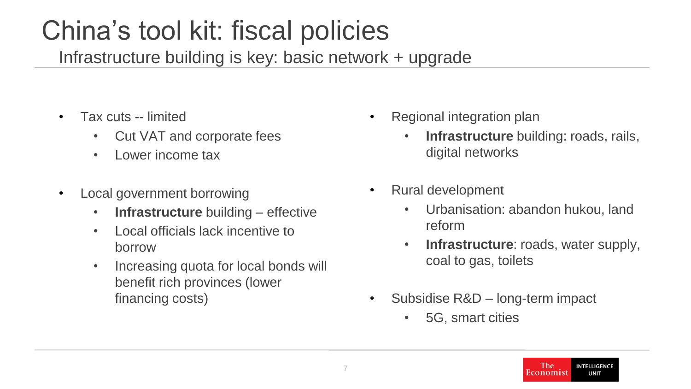## China's tool kit: fiscal policies

Infrastructure building is key: basic network + upgrade

- Tax cuts -- limited
	- Cut VAT and corporate fees
	- Lower income tax
- Local government borrowing
	- **Infrastructure** building effective
	- Local officials lack incentive to borrow
	- Increasing quota for local bonds will benefit rich provinces (lower financing costs)
- Regional integration plan
	- **Infrastructure** building: roads, rails, digital networks
- Rural development
	- Urbanisation: abandon hukou, land reform
	- **Infrastructure**: roads, water supply, coal to gas, toilets
- Subsidise R&D long-term impact
	- 5G, smart cities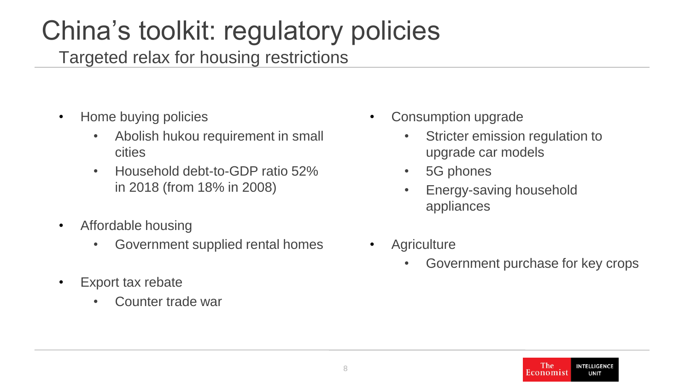### China's toolkit: regulatory policies

Targeted relax for housing restrictions

- Home buying policies
	- Abolish hukou requirement in small cities
	- Household debt-to-GDP ratio 52% in 2018 (from 18% in 2008)
- Affordable housing
	- Government supplied rental homes
- Export tax rebate
	- Counter trade war
- Consumption upgrade
	- Stricter emission regulation to upgrade car models
	- 5G phones
	- Energy-saving household appliances
- **Agriculture** 
	- Government purchase for key crops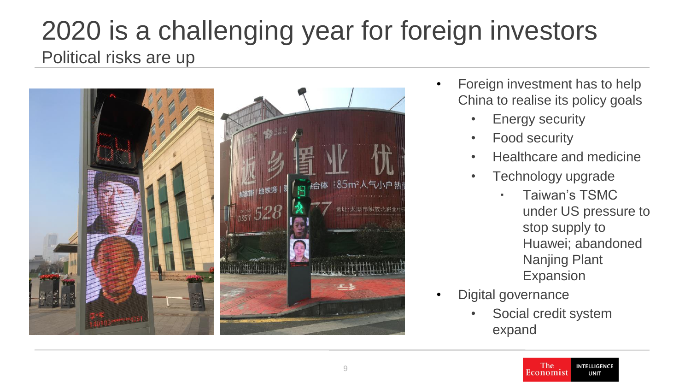#### Political risks are up 2020 is a challenging year for foreign investors



- Foreign investment has to help China to realise its policy goals
	- Energy security
	- Food security
	- Healthcare and medicine
	- Technology upgrade
		- Taiwan's TSMC under US pressure to stop supply to Huawei; abandoned Nanjing Plant Expansion
- Digital governance
	- Social credit system expand